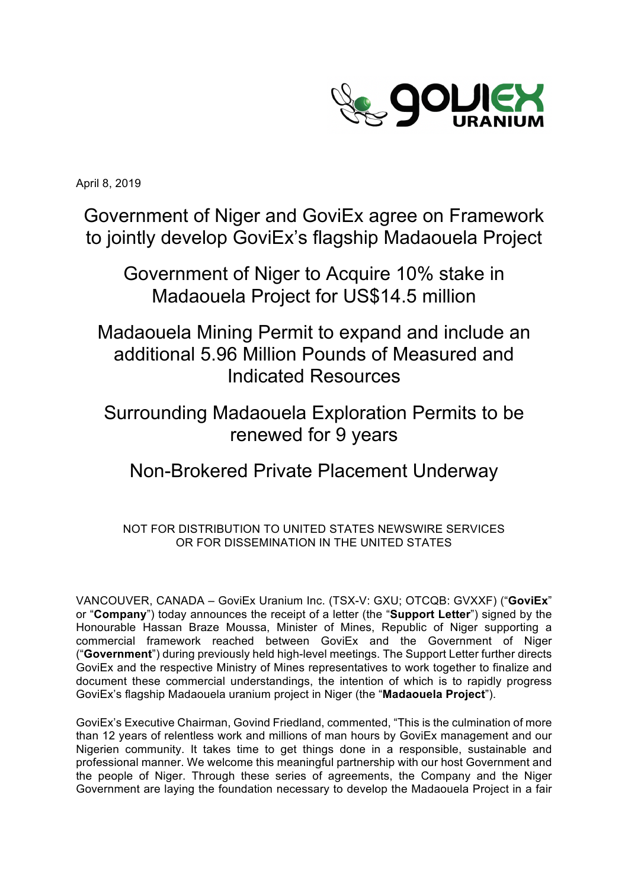

April 8, 2019

Government of Niger and GoviEx agree on Framework to jointly develop GoviEx's flagship Madaouela Project

Government of Niger to Acquire 10% stake in Madaouela Project for US\$14.5 million

Madaouela Mining Permit to expand and include an additional 5.96 Million Pounds of Measured and Indicated Resources

Surrounding Madaouela Exploration Permits to be renewed for 9 years

# Non-Brokered Private Placement Underway

## NOT FOR DISTRIBUTION TO UNITED STATES NEWSWIRE SERVICES OR FOR DISSEMINATION IN THE UNITED STATES

VANCOUVER, CANADA – GoviEx Uranium Inc. (TSX-V: GXU; OTCQB: GVXXF) ("**GoviEx**" or "**Company**") today announces the receipt of a letter (the "**Support Letter**") signed by the Honourable Hassan Braze Moussa, Minister of Mines, Republic of Niger supporting a commercial framework reached between GoviEx and the Government of Niger ("**Government**") during previously held high-level meetings. The Support Letter further directs GoviEx and the respective Ministry of Mines representatives to work together to finalize and document these commercial understandings, the intention of which is to rapidly progress GoviEx's flagship Madaouela uranium project in Niger (the "**Madaouela Project**").

GoviEx's Executive Chairman, Govind Friedland, commented, "This is the culmination of more than 12 years of relentless work and millions of man hours by GoviEx management and our Nigerien community. It takes time to get things done in a responsible, sustainable and professional manner. We welcome this meaningful partnership with our host Government and the people of Niger. Through these series of agreements, the Company and the Niger Government are laying the foundation necessary to develop the Madaouela Project in a fair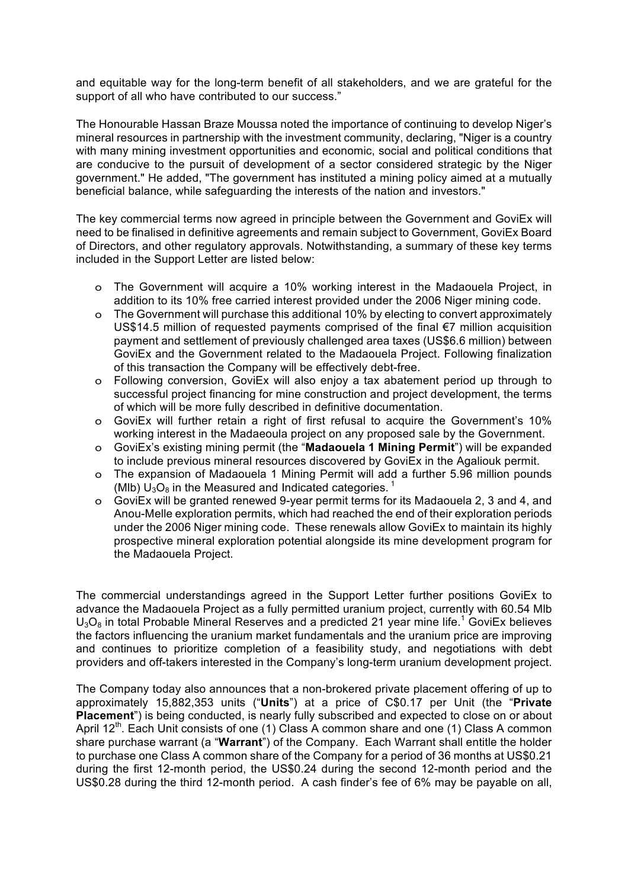and equitable way for the long-term benefit of all stakeholders, and we are grateful for the support of all who have contributed to our success."

The Honourable Hassan Braze Moussa noted the importance of continuing to develop Niger's mineral resources in partnership with the investment community, declaring, "Niger is a country with many mining investment opportunities and economic, social and political conditions that are conducive to the pursuit of development of a sector considered strategic by the Niger government." He added, "The government has instituted a mining policy aimed at a mutually beneficial balance, while safeguarding the interests of the nation and investors."

The key commercial terms now agreed in principle between the Government and GoviEx will need to be finalised in definitive agreements and remain subject to Government, GoviEx Board of Directors, and other regulatory approvals. Notwithstanding, a summary of these key terms included in the Support Letter are listed below:

- o The Government will acquire a 10% working interest in the Madaouela Project, in addition to its 10% free carried interest provided under the 2006 Niger mining code.
- o The Government will purchase this additional 10% by electing to convert approximately US\$14.5 million of requested payments comprised of the final €7 million acquisition payment and settlement of previously challenged area taxes (US\$6.6 million) between GoviEx and the Government related to the Madaouela Project. Following finalization of this transaction the Company will be effectively debt-free.
- o Following conversion, GoviEx will also enjoy a tax abatement period up through to successful project financing for mine construction and project development, the terms of which will be more fully described in definitive documentation.
- o GoviEx will further retain a right of first refusal to acquire the Government's 10% working interest in the Madaeoula project on any proposed sale by the Government.
- o GoviEx's existing mining permit (the "**Madaouela 1 Mining Permit**") will be expanded to include previous mineral resources discovered by GoviEx in the Agaliouk permit.
- o The expansion of Madaouela 1 Mining Permit will add a further 5.96 million pounds (Mlb)  $U_3O_8$  in the Measured and Indicated categories.<sup>1</sup>
- o GoviEx will be granted renewed 9-year permit terms for its Madaouela 2, 3 and 4, and Anou-Melle exploration permits, which had reached the end of their exploration periods under the 2006 Niger mining code. These renewals allow GoviEx to maintain its highly prospective mineral exploration potential alongside its mine development program for the Madaouela Project.

The commercial understandings agreed in the Support Letter further positions GoviEx to advance the Madaouela Project as a fully permitted uranium project, currently with 60.54 Mlb  $U_3O_8$  in total Probable Mineral Reserves and a predicted 21 year mine life.<sup>1</sup> GoviEx believes the factors influencing the uranium market fundamentals and the uranium price are improving and continues to prioritize completion of a feasibility study, and negotiations with debt providers and off-takers interested in the Company's long-term uranium development project.

The Company today also announces that a non-brokered private placement offering of up to approximately 15,882,353 units ("**Units**") at a price of C\$0.17 per Unit (the "**Private Placement**") is being conducted, is nearly fully subscribed and expected to close on or about April 12<sup>th</sup>. Each Unit consists of one (1) Class A common share and one (1) Class A common share purchase warrant (a "**Warrant**") of the Company. Each Warrant shall entitle the holder to purchase one Class A common share of the Company for a period of 36 months at US\$0.21 during the first 12-month period, the US\$0.24 during the second 12-month period and the US\$0.28 during the third 12-month period. A cash finder's fee of 6% may be payable on all,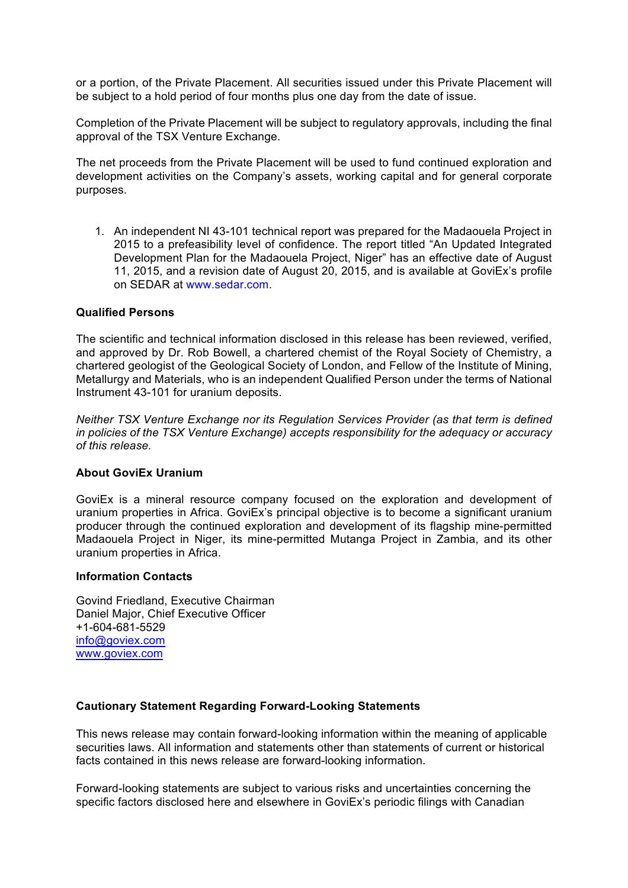or a portion, of the Private Placement. All securities issued under this Private Placement will be subject to a hold period of four months plus one day from the date of issue.

Completion of the Private Placement will be subject to regulatory approvals, including the final approval of the TSX Venture Exchange.

The net proceeds from the Private Placement will be used to fund continued exploration and development activities on the Company's assets, working capital and for general corporate purposes.

1. An independent NI 43-101 technical report was prepared for the Madaouela Project in 2015 to a prefeasibility level of confidence. The report titled "An Updated Integrated Development Plan for the Madaouela Project, Niger" has an effective date of August 11, 2015, and a revision date of August 20, 2015, and is available at GoviEx's profile on SEDAR at www.sedar.com.

### **Qualified Persons**

The scientific and technical information disclosed in this release has been reviewed, verified, and approved by Dr. Rob Bowell, a chartered chemist of the Royal Society of Chemistry, a chartered geologist of the Geological Society of London, and Fellow of the Institute of Mining, Metallurgy and Materials, who is an independent Qualified Person under the terms of National Instrument 43-101 for uranium deposits.

*Neither TSX Venture Exchange nor its Regulation Services Provider (as that term is defined in policies of the TSX Venture Exchange) accepts responsibility for the adequacy or accuracy of this release.* 

#### **About GoviEx Uranium**

GoviEx is a mineral resource company focused on the exploration and development of uranium properties in Africa. GoviEx's principal objective is to become a significant uranium producer through the continued exploration and development of its flagship mine-permitted Madaouela Project in Niger, its mine-permitted Mutanga Project in Zambia, and its other uranium properties in Africa.

#### **Information Contacts**

Govind Friedland, Executive Chairman Daniel Major, Chief Executive Officer +1-604-681-5529 info@goviex.com www.goviex.com

#### **Cautionary Statement Regarding Forward-Looking Statements**

This news release may contain forward-looking information within the meaning of applicable securities laws. All information and statements other than statements of current or historical facts contained in this news release are forward-looking information.

Forward-looking statements are subject to various risks and uncertainties concerning the specific factors disclosed here and elsewhere in GoviEx's periodic filings with Canadian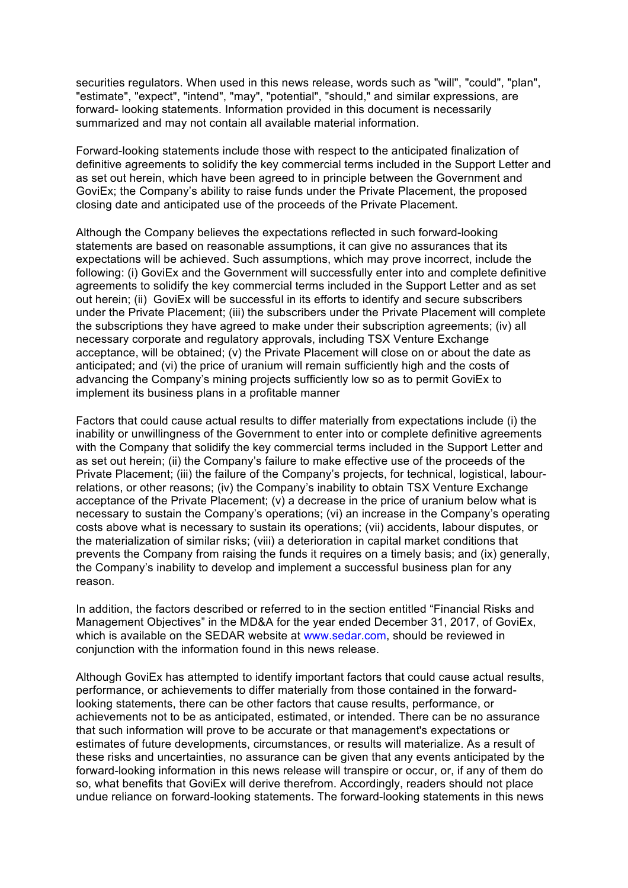securities regulators. When used in this news release, words such as "will", "could", "plan", "estimate", "expect", "intend", "may", "potential", "should," and similar expressions, are forward- looking statements. Information provided in this document is necessarily summarized and may not contain all available material information.

Forward-looking statements include those with respect to the anticipated finalization of definitive agreements to solidify the key commercial terms included in the Support Letter and as set out herein, which have been agreed to in principle between the Government and GoviEx; the Company's ability to raise funds under the Private Placement, the proposed closing date and anticipated use of the proceeds of the Private Placement.

Although the Company believes the expectations reflected in such forward-looking statements are based on reasonable assumptions, it can give no assurances that its expectations will be achieved. Such assumptions, which may prove incorrect, include the following: (i) GoviEx and the Government will successfully enter into and complete definitive agreements to solidify the key commercial terms included in the Support Letter and as set out herein; (ii) GoviEx will be successful in its efforts to identify and secure subscribers under the Private Placement; (iii) the subscribers under the Private Placement will complete the subscriptions they have agreed to make under their subscription agreements; (iv) all necessary corporate and regulatory approvals, including TSX Venture Exchange acceptance, will be obtained; (v) the Private Placement will close on or about the date as anticipated; and (vi) the price of uranium will remain sufficiently high and the costs of advancing the Company's mining projects sufficiently low so as to permit GoviEx to implement its business plans in a profitable manner

Factors that could cause actual results to differ materially from expectations include (i) the inability or unwillingness of the Government to enter into or complete definitive agreements with the Company that solidify the key commercial terms included in the Support Letter and as set out herein; (ii) the Company's failure to make effective use of the proceeds of the Private Placement; (iii) the failure of the Company's projects, for technical, logistical, labourrelations, or other reasons; (iv) the Company's inability to obtain TSX Venture Exchange acceptance of the Private Placement; (v) a decrease in the price of uranium below what is necessary to sustain the Company's operations; (vi) an increase in the Company's operating costs above what is necessary to sustain its operations; (vii) accidents, labour disputes, or the materialization of similar risks; (viii) a deterioration in capital market conditions that prevents the Company from raising the funds it requires on a timely basis; and (ix) generally, the Company's inability to develop and implement a successful business plan for any reason.

In addition, the factors described or referred to in the section entitled "Financial Risks and Management Objectives" in the MD&A for the year ended December 31, 2017, of GoviEx, which is available on the SEDAR website at www.sedar.com, should be reviewed in conjunction with the information found in this news release.

Although GoviEx has attempted to identify important factors that could cause actual results, performance, or achievements to differ materially from those contained in the forwardlooking statements, there can be other factors that cause results, performance, or achievements not to be as anticipated, estimated, or intended. There can be no assurance that such information will prove to be accurate or that management's expectations or estimates of future developments, circumstances, or results will materialize. As a result of these risks and uncertainties, no assurance can be given that any events anticipated by the forward-looking information in this news release will transpire or occur, or, if any of them do so, what benefits that GoviEx will derive therefrom. Accordingly, readers should not place undue reliance on forward-looking statements. The forward-looking statements in this news